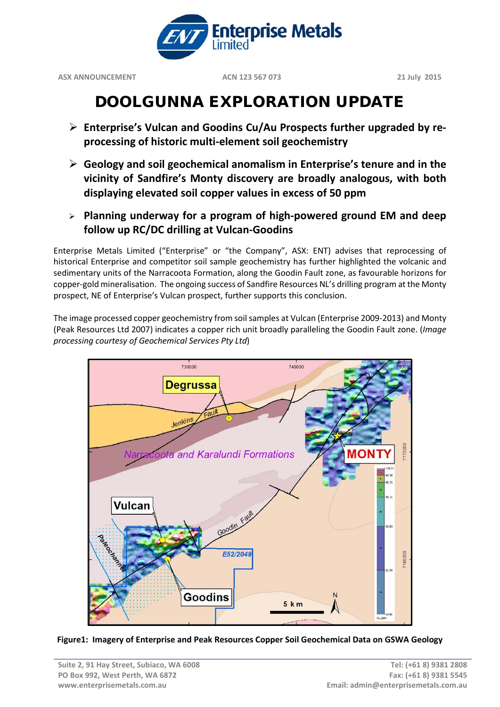

**ASX ANNOUNCEMENT ACN 123 567 073 21 July 2015**

# DOOLGUNNA EXPLORATION UPDATE

- **Enterprise's Vulcan and Goodins Cu/Au Prospects further upgraded by reprocessing of historic multi-element soil geochemistry**
- **Geology and soil geochemical anomalism in Enterprise's tenure and in the vicinity of Sandfire's Monty discovery are broadly analogous, with both displaying elevated soil copper values in excess of 50 ppm**
- **Planning underway for a program of high-powered ground EM and deep follow up RC/DC drilling at Vulcan-Goodins**

Enterprise Metals Limited ("Enterprise" or "the Company", ASX: ENT) advises that reprocessing of historical Enterprise and competitor soil sample geochemistry has further highlighted the volcanic and sedimentary units of the Narracoota Formation, along the Goodin Fault zone, as favourable horizons for copper-gold mineralisation. The ongoing success of Sandfire Resources NL's drilling program at the Monty prospect, NE of Enterprise's Vulcan prospect, further supports this conclusion.

The image processed copper geochemistry from soil samples at Vulcan (Enterprise 2009-2013) and Monty (Peak Resources Ltd 2007) indicates a copper rich unit broadly paralleling the Goodin Fault zone. (*Image processing courtesy of Geochemical Services Pty Ltd*)



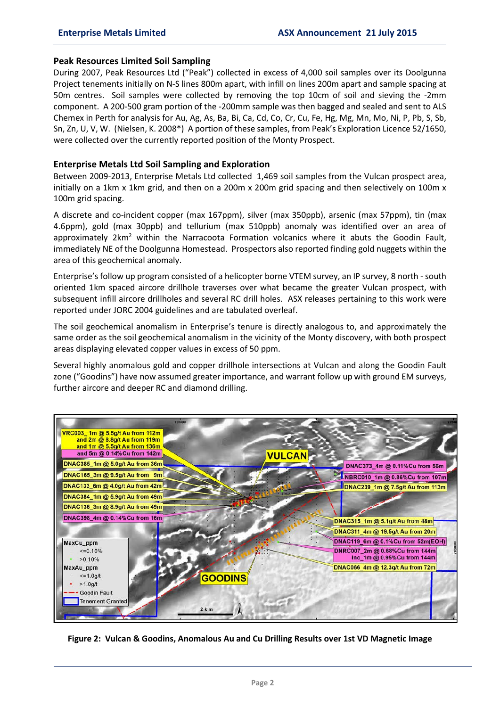#### **Peak Resources Limited Soil Sampling**

During 2007, Peak Resources Ltd ("Peak") collected in excess of 4,000 soil samples over its Doolgunna Project tenements initially on N-S lines 800m apart, with infill on lines 200m apart and sample spacing at 50m centres. Soil samples were collected by removing the top 10cm of soil and sieving the -2mm component. A 200-500 gram portion of the -200mm sample was then bagged and sealed and sent to ALS Chemex in Perth for analysis for Au, Ag, As, Ba, Bi, Ca, Cd, Co, Cr, Cu, Fe, Hg, Mg, Mn, Mo, Ni, P, Pb, S, Sb, Sn, Zn, U, V, W. (Nielsen, K. 2008\*) A portion of these samples, from Peak's Exploration Licence 52/1650, were collected over the currently reported position of the Monty Prospect.

## **Enterprise Metals Ltd Soil Sampling and Exploration**

Between 2009-2013, Enterprise Metals Ltd collected 1,469 soil samples from the Vulcan prospect area, initially on a 1km x 1km grid, and then on a 200m x 200m grid spacing and then selectively on 100m x 100m grid spacing.

A discrete and co-incident copper (max 167ppm), silver (max 350ppb), arsenic (max 57ppm), tin (max 4.6ppm), gold (max 30ppb) and tellurium (max 510ppb) anomaly was identified over an area of approximately  $2km^2$  within the Narracoota Formation volcanics where it abuts the Goodin Fault, immediately NE of the Doolgunna Homestead. Prospectors also reported finding gold nuggets within the area of this geochemical anomaly.

Enterprise's follow up program consisted of a helicopter borne VTEM survey, an IP survey, 8 north - south oriented 1km spaced aircore drillhole traverses over what became the greater Vulcan prospect, with subsequent infill aircore drillholes and several RC drill holes. ASX releases pertaining to this work were reported under JORC 2004 guidelines and are tabulated overleaf.

The soil geochemical anomalism in Enterprise's tenure is directly analogous to, and approximately the same order as the soil geochemical anomalism in the vicinity of the Monty discovery, with both prospect areas displaying elevated copper values in excess of 50 ppm.

Several highly anomalous gold and copper drillhole intersections at Vulcan and along the Goodin Fault zone ("Goodins") have now assumed greater importance, and warrant follow up with ground EM surveys, further aircore and deeper RC and diamond drilling.



**Figure 2: Vulcan & Goodins, Anomalous Au and Cu Drilling Results over 1st VD Magnetic Image**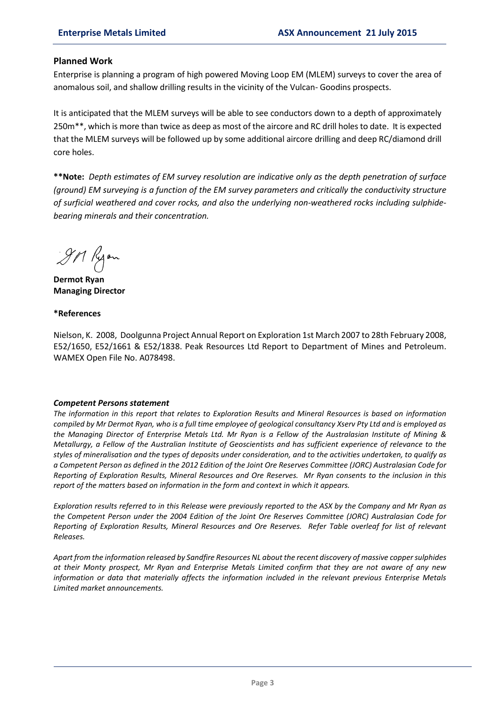## **Planned Work**

Enterprise is planning a program of high powered Moving Loop EM (MLEM) surveys to cover the area of anomalous soil, and shallow drilling results in the vicinity of the Vulcan- Goodins prospects.

It is anticipated that the MLEM surveys will be able to see conductors down to a depth of approximately 250m\*\*, which is more than twice as deep as most of the aircore and RC drill holes to date. It is expected that the MLEM surveys will be followed up by some additional aircore drilling and deep RC/diamond drill core holes.

**\*\*Note:** *Depth estimates of EM survey resolution are indicative only as the depth penetration of surface (ground) EM surveying is a function of the EM survey parameters and critically the conductivity structure of surficial weathered and cover rocks, and also the underlying non-weathered rocks including sulphidebearing minerals and their concentration.*

9M Ryon

**Dermot Ryan Managing Director**

#### **\*References**

Nielson, K. 2008, Doolgunna Project Annual Report on Exploration 1st March 2007 to 28th February 2008, E52/1650, E52/1661 & E52/1838. Peak Resources Ltd Report to Department of Mines and Petroleum. WAMEX Open File No. A078498.

#### *Competent Persons statement*

*The information in this report that relates to Exploration Results and Mineral Resources is based on information compiled by Mr Dermot Ryan, who is a full time employee of geological consultancy Xserv Pty Ltd and is employed as the Managing Director of Enterprise Metals Ltd. Mr Ryan is a Fellow of the Australasian Institute of Mining & Metallurgy, a Fellow of the Australian Institute of Geoscientists and has sufficient experience of relevance to the styles of mineralisation and the types of deposits under consideration, and to the activities undertaken, to qualify as a Competent Person as defined in the 2012 Edition of the Joint Ore Reserves Committee (JORC) Australasian Code for Reporting of Exploration Results, Mineral Resources and Ore Reserves. Mr Ryan consents to the inclusion in this report of the matters based on information in the form and context in which it appears.*

*Exploration results referred to in this Release were previously reported to the ASX by the Company and Mr Ryan as the Competent Person under the 2004 Edition of the Joint Ore Reserves Committee (JORC) Australasian Code for Reporting of Exploration Results, Mineral Resources and Ore Reserves. Refer Table overleaf for list of relevant Releases.*

*Apart from the information released by Sandfire Resources NL about the recent discovery of massive copper sulphides at their Monty prospect, Mr Ryan and Enterprise Metals Limited confirm that they are not aware of any new information or data that materially affects the information included in the relevant previous Enterprise Metals Limited market announcements.*